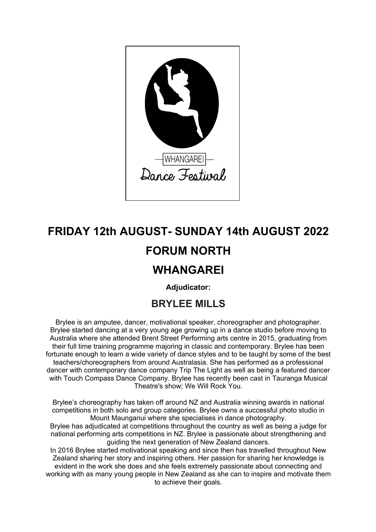

# **FRIDAY 12th AUGUST- SUNDAY 14th AUGUST 2022 FORUM NORTH**

# **WHANGAREI**

**Adjudicator:**

## **BRYLEE MILLS**

Brylee is an amputee, dancer, motivational speaker, choreographer and photographer. Brylee started dancing at a very young age growing up in a dance studio before moving to Australia where she attended Brent Street Performing arts centre in 2015, graduating from their full time training programme majoring in classic and contemporary. Brylee has been fortunate enough to learn a wide variety of dance styles and to be taught by some of the best teachers/choreographers from around Australasia. She has performed as a professional dancer with contemporary dance company Trip The Light as well as being a featured dancer with Touch Compass Dance Company. Brylee has recently been cast in Tauranga Musical Theatre's show; We Will Rock You.

Brylee's choreography has taken off around NZ and Australia winning awards in national competitions in both solo and group categories. Brylee owns a successful photo studio in Mount Maunganui where she specialises in dance photography.

Brylee has adjudicated at competitions throughout the country as well as being a judge for national performing arts competitions in NZ. Brylee is passionate about strengthening and guiding the next generation of New Zealand dancers.

In 2016 Brylee started motivational speaking and since then has travelled throughout New Zealand sharing her story and inspiring others. Her passion for sharing her knowledge is evident in the work she does and she feels extremely passionate about connecting and working with as many young people in New Zealand as she can to inspire and motivate them to achieve their goals.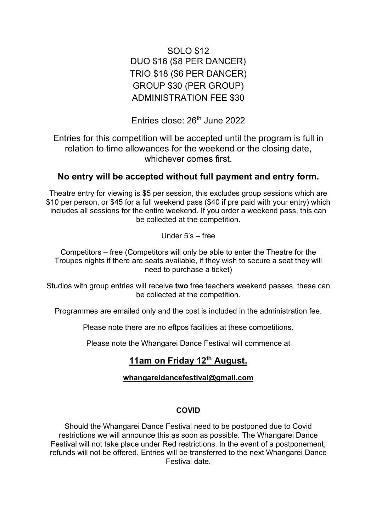### SOLO \$12 DUO \$16 (\$8 PER DANCER) TRIO \$18 (\$6 PER DANCER) GROUP \$30 (PER GROUP) ADMINISTRATION FEE \$30

Entries close:  $26<sup>th</sup>$  June 2022

Entries for this competition will be accepted until the program is full in relation to time allowances for the weekend or the closing date, whichever comes first.

### **No entry will be accepted without full payment and entry form.**

Theatre entry for viewing is \$5 per session, this excludes group sessions which are \$10 per person, or \$45 for a full weekend pass (\$40 if pre paid with your entry) which includes all sessions for the entire weekend. If you order a weekend pass, this can be collected at the competition.

Under 5's – free

Competitors – free (Competitors will only be able to enter the Theatre for the Troupes nights if there are seats available, if they wish to secure a seat they will need to purchase a ticket)

Studios with group entries will receive **two** free teachers weekend passes, these can be collected at the competition.

Programmes are emailed only and the cost is included in the administration fee.

Please note there are no eftpos facilities at these competitions.

Please note the Whangarei Dance Festival will commence at

### **11am on Friday 12th August.**

### **whangareidancefestival@gmail.com**

#### **COVID**

Should the Whangarei Dance Festival need to be postponed due to Covid restrictions we will announce this as soon as possible. The Whangarei Dance Festival will not take place under Red restrictions. In the event of a postponement, refunds will not be offered. Entries will be transferred to the next Whangarei Dance Festival date.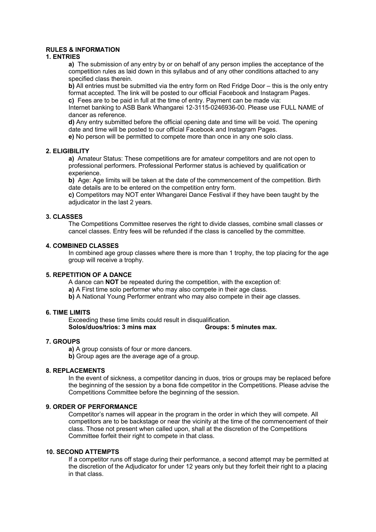#### **RULES & INFORMATION**

#### **1. ENTRIES**

**a)** The submission of any entry by or on behalf of any person implies the acceptance of the competition rules as laid down in this syllabus and of any other conditions attached to any specified class therein.

**b)** All entries must be submitted via the entry form on Red Fridge Door – this is the only entry format accepted. The link will be posted to our official Facebook and Instagram Pages. **c)** Fees are to be paid in full at the time of entry. Payment can be made via:

Internet banking to ASB Bank Whangarei 12-3115-0246936-00. Please use FULL NAME of dancer as reference.

**d)** Any entry submitted before the official opening date and time will be void. The opening date and time will be posted to our official Facebook and Instagram Pages.

**e)** No person will be permitted to compete more than once in any one solo class.

#### **2. ELIGIBILITY**

**a)** Amateur Status: These competitions are for amateur competitors and are not open to professional performers. Professional Performer status is achieved by qualification or experience.

**b)** Age: Age limits will be taken at the date of the commencement of the competition. Birth date details are to be entered on the competition entry form.

**c)** Competitors may NOT enter Whangarei Dance Festival if they have been taught by the adiudicator in the last 2 years.

#### **3. CLASSES**

The Competitions Committee reserves the right to divide classes, combine small classes or cancel classes. Entry fees will be refunded if the class is cancelled by the committee.

#### **4. COMBINED CLASSES**

In combined age group classes where there is more than 1 trophy, the top placing for the age group will receive a trophy.

#### **5. REPETITION OF A DANCE**

A dance can **NOT** be repeated during the competition, with the exception of:

**a)** A First time solo performer who may also compete in their age class.

**b)** A National Young Performer entrant who may also compete in their age classes.

#### **6. TIME LIMITS**

Exceeding these time limits could result in disqualification. **Solos/duos/trios: 3 mins max Groups: 5 minutes max.**

#### **7. GROUPS**

**a)** A group consists of four or more dancers.

**b)** Group ages are the average age of a group.

#### **8. REPLACEMENTS**

In the event of sickness, a competitor dancing in duos, trios or groups may be replaced before the beginning of the session by a bona fide competitor in the Competitions. Please advise the Competitions Committee before the beginning of the session.

#### **9. ORDER OF PERFORMANCE**

Competitor's names will appear in the program in the order in which they will compete. All competitors are to be backstage or near the vicinity at the time of the commencement of their class. Those not present when called upon, shall at the discretion of the Competitions Committee forfeit their right to compete in that class.

#### **10. SECOND ATTEMPTS**

If a competitor runs off stage during their performance, a second attempt may be permitted at the discretion of the Adjudicator for under 12 years only but they forfeit their right to a placing in that class.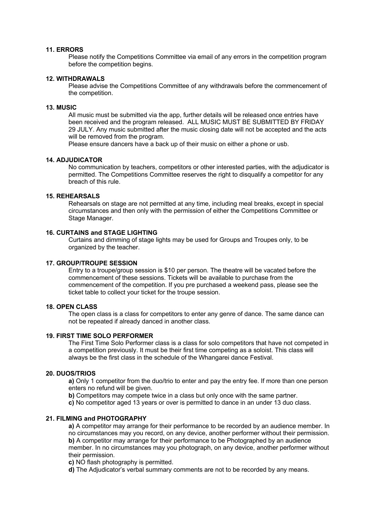#### **11. ERRORS**

Please notify the Competitions Committee via email of any errors in the competition program before the competition begins.

#### **12. WITHDRAWALS**

Please advise the Competitions Committee of any withdrawals before the commencement of the competition.

#### **13. MUSIC**

All music must be submitted via the app, further details will be released once entries have been received and the program released. ALL MUSIC MUST BE SUBMITTED BY FRIDAY 29 JULY. Any music submitted after the music closing date will not be accepted and the acts will be removed from the program.

Please ensure dancers have a back up of their music on either a phone or usb.

#### **14. ADJUDICATOR**

No communication by teachers, competitors or other interested parties, with the adjudicator is permitted. The Competitions Committee reserves the right to disqualify a competitor for any breach of this rule.

#### **15. REHEARSALS**

Rehearsals on stage are not permitted at any time, including meal breaks, except in special circumstances and then only with the permission of either the Competitions Committee or Stage Manager.

#### **16. CURTAINS and STAGE LIGHTING**

Curtains and dimming of stage lights may be used for Groups and Troupes only, to be organized by the teacher.

#### **17. GROUP/TROUPE SESSION**

Entry to a troupe/group session is \$10 per person. The theatre will be vacated before the commencement of these sessions. Tickets will be available to purchase from the commencement of the competition. If you pre purchased a weekend pass, please see the ticket table to collect your ticket for the troupe session.

#### **18. OPEN CLASS**

The open class is a class for competitors to enter any genre of dance. The same dance can not be repeated if already danced in another class.

#### **19. FIRST TIME SOLO PERFORMER**

The First Time Solo Performer class is a class for solo competitors that have not competed in a competition previously. It must be their first time competing as a soloist. This class will always be the first class in the schedule of the Whangarei dance Festival.

#### **20. DUOS/TRIOS**

**a)** Only 1 competitor from the duo/trio to enter and pay the entry fee. If more than one person enters no refund will be given.

- **b)** Competitors may compete twice in a class but only once with the same partner.
- **c)** No competitor aged 13 years or over is permitted to dance in an under 13 duo class.

#### **21. FILMING and PHOTOGRAPHY**

**a)** A competitor may arrange for their performance to be recorded by an audience member. In no circumstances may you record, on any device, another performer without their permission. **b)** A competitor may arrange for their performance to be Photographed by an audience member. In no circumstances may you photograph, on any device, another performer without their permission.

**c)** NO flash photography is permitted.

**d)** The Adjudicator's verbal summary comments are not to be recorded by any means.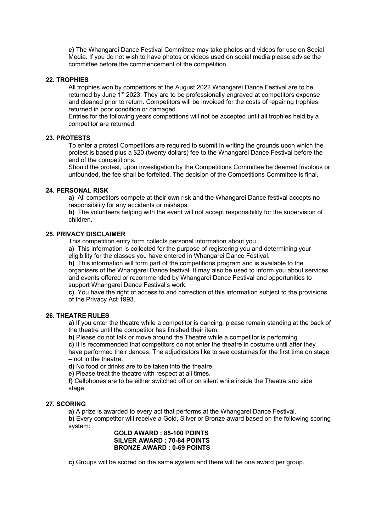**e)** The Whangarei Dance Festival Committee may take photos and videos for use on Social Media. If you do not wish to have photos or videos used on social media please advise the committee before the commencement of the competition.

#### **22. TROPHIES**

All trophies won by competitors at the August 2022 Whangarei Dance Festival are to be returned by June 1st 2023. They are to be professionally engraved at competitors expense and cleaned prior to return. Competitors will be invoiced for the costs of repairing trophies returned in poor condition or damaged.

Entries for the following years competitions will not be accepted until all trophies held by a competitor are returned.

#### **23. PROTESTS**

To enter a protest Competitors are required to submit in writing the grounds upon which the protest is based plus a \$20 (twenty dollars) fee to the Whangarei Dance Festival before the end of the competitions.

Should the protest, upon investigation by the Competitions Committee be deemed frivolous or unfounded, the fee shall be forfeited. The decision of the Competitions Committee is final.

#### **24. PERSONAL RISK**

**a)** All competitors compete at their own risk and the Whangarei Dance festival accepts no responsibility for any accidents or mishaps.

**b)** The volunteers helping with the event will not accept responsibility for the supervision of children.

#### **25. PRIVACY DISCLAIMER**

This competition entry form collects personal information about you.

**a)** This information is collected for the purpose of registering you and determining your eligibility for the classes you have entered in Whangarei Dance Festival.

**b)** This information will form part of the competitions program and is available to the organisers of the Whangarei Dance festival. It may also be used to inform you about services and events offered or recommended by Whangarei Dance Festival and opportunities to support Whangarei Dance Festival's work.

**c)** You have the right of access to and correction of this information subject to the provisions of the Privacy Act 1993.

#### **26. THEATRE RULES**

**a)** If you enter the theatre while a competitor is dancing, please remain standing at the back of the theatre until the competitor has finished their item.

**b)** Please do not talk or move around the Theatre while a competitor is performing.

**c)** It is recommended that competitors do not enter the theatre in costume until after they have performed their dances. The adjudicators like to see costumes for the first time on stage – not in the theatre.

**d)** No food or drinks are to be taken into the theatre.

**e)** Please treat the theatre with respect at all times.

**f)** Cellphones are to be either switched off or on silent while inside the Theatre and side stage.

#### **27. SCORING**

**a)** A prize is awarded to every act that performs at the Whangarei Dance Festival. **b)** Every competitor will receive a Gold, Silver or Bronze award based on the following scoring system:

#### **GOLD AWARD : 85-100 POINTS SILVER AWARD : 70-84 POINTS BRONZE AWARD : 0-69 POINTS**

**c)** Groups will be scored on the same system and there will be one award per group.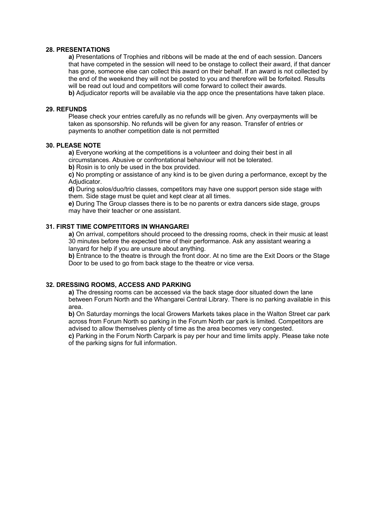#### **28. PRESENTATIONS**

**a)** Presentations of Trophies and ribbons will be made at the end of each session. Dancers that have competed in the session will need to be onstage to collect their award, if that dancer has gone, someone else can collect this award on their behalf. If an award is not collected by the end of the weekend they will not be posted to you and therefore will be forfeited. Results will be read out loud and competitors will come forward to collect their awards.

**b)** Adjudicator reports will be available via the app once the presentations have taken place.

#### **29. REFUNDS**

Please check your entries carefully as no refunds will be given. Any overpayments will be taken as sponsorship. No refunds will be given for any reason. Transfer of entries or payments to another competition date is not permitted

#### **30. PLEASE NOTE**

**a)** Everyone working at the competitions is a volunteer and doing their best in all circumstances. Abusive or confrontational behaviour will not be tolerated.

**b)** Rosin is to only be used in the box provided.

**c)** No prompting or assistance of any kind is to be given during a performance, except by the Adiudicator.

**d)** During solos/duo/trio classes, competitors may have one support person side stage with them. Side stage must be quiet and kept clear at all times.

**e)** During The Group classes there is to be no parents or extra dancers side stage, groups may have their teacher or one assistant.

#### **31. FIRST TIME COMPETITORS IN WHANGAREI**

**a)** On arrival, competitors should proceed to the dressing rooms, check in their music at least 30 minutes before the expected time of their performance. Ask any assistant wearing a lanyard for help if you are unsure about anything.

**b)** Entrance to the theatre is through the front door. At no time are the Exit Doors or the Stage Door to be used to go from back stage to the theatre or vice versa.

#### **32. DRESSING ROOMS, ACCESS AND PARKING**

**a)** The dressing rooms can be accessed via the back stage door situated down the lane between Forum North and the Whangarei Central Library. There is no parking available in this area.

**b)** On Saturday mornings the local Growers Markets takes place in the Walton Street car park across from Forum North so parking in the Forum North car park is limited. Competitors are advised to allow themselves plenty of time as the area becomes very congested.

**c)** Parking in the Forum North Carpark is pay per hour and time limits apply. Please take note of the parking signs for full information.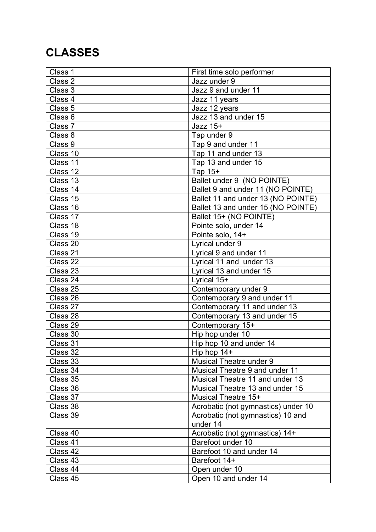# **CLASSES**

| Class 1            | First time solo performer           |
|--------------------|-------------------------------------|
| Class 2            | Jazz under 9                        |
| Class 3            | Jazz 9 and under 11                 |
| Class 4            | Jazz 11 years                       |
| Class <sub>5</sub> | Jazz 12 years                       |
| Class <sub>6</sub> | Jazz 13 and under 15                |
| Class 7            | Jazz $15+$                          |
| Class 8            | Tap under 9                         |
| Class 9            | Tap 9 and under 11                  |
| Class 10           | Tap 11 and under 13                 |
| Class 11           | Tap 13 and under 15                 |
| Class 12           | Tap 15+                             |
| Class 13           | Ballet under 9 (NO POINTE)          |
| Class 14           | Ballet 9 and under 11 (NO POINTE)   |
| Class 15           | Ballet 11 and under 13 (NO POINTE)  |
| Class 16           | Ballet 13 and under 15 (NO POINTE)  |
| Class 17           | Ballet 15+ (NO POINTE)              |
| Class 18           | Pointe solo, under 14               |
| Class 19           | Pointe solo, 14+                    |
| Class 20           | Lyrical under 9                     |
| Class 21           | Lyrical 9 and under 11              |
| Class 22           | Lyrical 11 and under 13             |
| Class 23           | Lyrical 13 and under 15             |
| Class 24           | Lyrical 15+                         |
| Class 25           | Contemporary under 9                |
| Class 26           | Contemporary 9 and under 11         |
| Class 27           | Contemporary 11 and under 13        |
| Class 28           | Contemporary 13 and under 15        |
| Class 29           | Contemporary 15+                    |
| Class 30           | Hip hop under 10                    |
| Class 31           | Hip hop 10 and under 14             |
| Class 32           | Hip hop 14+                         |
| Class 33           | <b>Musical Theatre under 9</b>      |
| Class 34           | Musical Theatre 9 and under 11      |
| Class 35           | Musical Theatre 11 and under 13     |
| Class 36           | Musical Theatre 13 and under 15     |
| Class 37           | Musical Theatre 15+                 |
| Class 38           | Acrobatic (not gymnastics) under 10 |
| Class 39           | Acrobatic (not gymnastics) 10 and   |
|                    | under 14                            |
| Class 40           | Acrobatic (not gymnastics) 14+      |
| Class 41           | Barefoot under 10                   |
| Class 42           | Barefoot 10 and under 14            |
| Class 43           | Barefoot 14+                        |
| Class 44           | Open under 10                       |
| Class 45           | Open 10 and under 14                |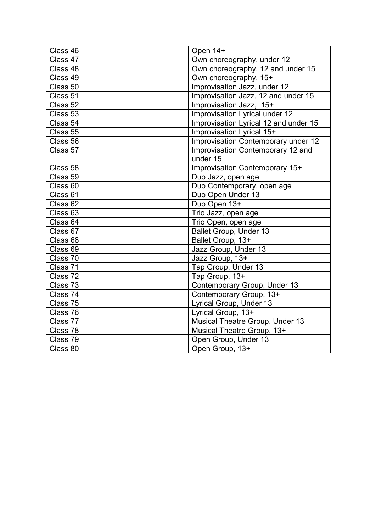| Class 46            | Open 14+                              |
|---------------------|---------------------------------------|
| Class 47            | Own choreography, under 12            |
| Class 48            | Own choreography, 12 and under 15     |
| Class 49            | Own choreography, 15+                 |
| Class 50            | Improvisation Jazz, under 12          |
| Class 51            | Improvisation Jazz, 12 and under 15   |
| Class 52            | Improvisation Jazz, 15+               |
| Class 53            | Improvisation Lyrical under 12        |
| Class 54            | Improvisation Lyrical 12 and under 15 |
| Class 55            | Improvisation Lyrical 15+             |
| Class 56            | Improvisation Contemporary under 12   |
| Class 57            | Improvisation Contemporary 12 and     |
|                     | under 15                              |
| Class 58            | Improvisation Contemporary 15+        |
| Class 59            | Duo Jazz, open age                    |
| Class <sub>60</sub> | Duo Contemporary, open age            |
| Class 61            | Duo Open Under 13                     |
| Class 62            | Duo Open 13+                          |
| Class 63            | Trio Jazz, open age                   |
| Class 64            | Trio Open, open age                   |
| Class 67            | Ballet Group, Under 13                |
| Class 68            | Ballet Group, 13+                     |
| Class 69            | Jazz Group, Under 13                  |
| Class 70            | Jazz Group, 13+                       |
| Class 71            | Tap Group, Under 13                   |
| Class 72            | Tap Group, 13+                        |
| Class 73            | Contemporary Group, Under 13          |
| Class 74            | Contemporary Group, 13+               |
| Class 75            | Lyrical Group, Under 13               |
| Class 76            | Lyrical Group, 13+                    |
| Class 77            | Musical Theatre Group, Under 13       |
| Class 78            | Musical Theatre Group, 13+            |
| Class 79            | Open Group, Under 13                  |
| Class 80            | Open Group, 13+                       |